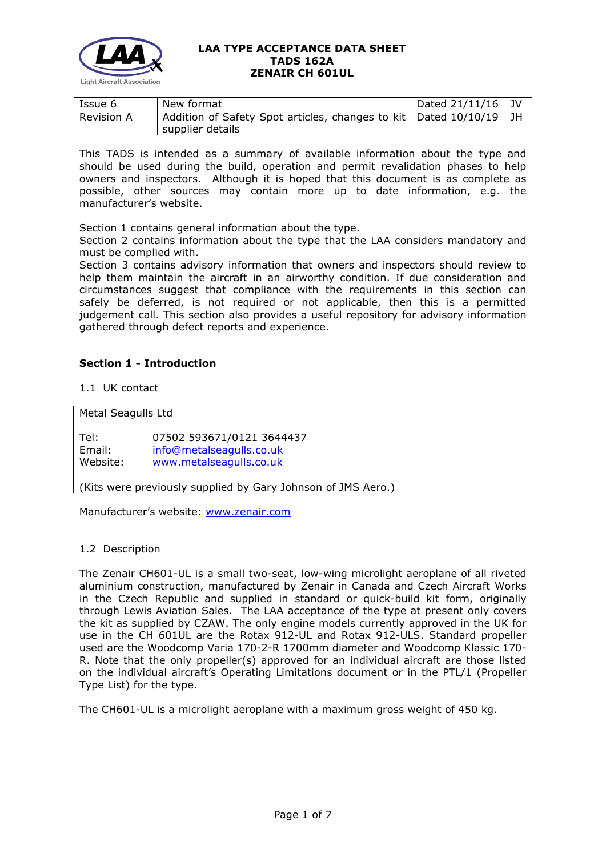

| Issue 6           | New format                                                                            | Dated $21/11/16$ |  |
|-------------------|---------------------------------------------------------------------------------------|------------------|--|
| <b>Revision A</b> | Addition of Safety Spot articles, changes to kit   Dated 10/10/19<br>supplier details |                  |  |

This TADS is intended as a summary of available information about the type and should be used during the build, operation and permit revalidation phases to help owners and inspectors. Although it is hoped that this document is as complete as possible, other sources may contain more up to date information, e.g. the manufacturer's website.

Section 1 contains general information about the type.

Section 2 contains information about the type that the LAA considers mandatory and must be complied with.

Section 3 contains advisory information that owners and inspectors should review to help them maintain the aircraft in an airworthy condition. If due consideration and circumstances suggest that compliance with the requirements in this section can safely be deferred, is not required or not applicable, then this is a permitted judgement call. This section also provides a useful repository for advisory information gathered through defect reports and experience.

# **Section 1 - Introduction**

1.1 UK contact

Metal Seagulls Ltd

Tel: 07502 593671/0121 3644437 Email: [info@metalseagulls.co.uk](mailto:info@metalseagulls.co.uk) Website: [www.metalseagulls.co.uk](http://www.metalseagulls.co.uk/)

(Kits were previously supplied by Gary Johnson of JMS Aero.)

Manufacturer's website: [www.zenair.com](http://www.zenair.com/)

#### 1.2 Description

The Zenair CH601-UL is a small two-seat, low-wing microlight aeroplane of all riveted aluminium construction, manufactured by Zenair in Canada and Czech Aircraft Works in the Czech Republic and supplied in standard or quick-build kit form, originally through Lewis Aviation Sales. The LAA acceptance of the type at present only covers the kit as supplied by CZAW. The only engine models currently approved in the UK for use in the CH 601UL are the Rotax 912-UL and Rotax 912-ULS. Standard propeller used are the Woodcomp Varia 170-2-R 1700mm diameter and Woodcomp Klassic 170- R. Note that the only propeller(s) approved for an individual aircraft are those listed on the individual aircraft's Operating Limitations document or in the PTL/1 (Propeller Type List) for the type.

The CH601-UL is a microlight aeroplane with a maximum gross weight of 450 kg.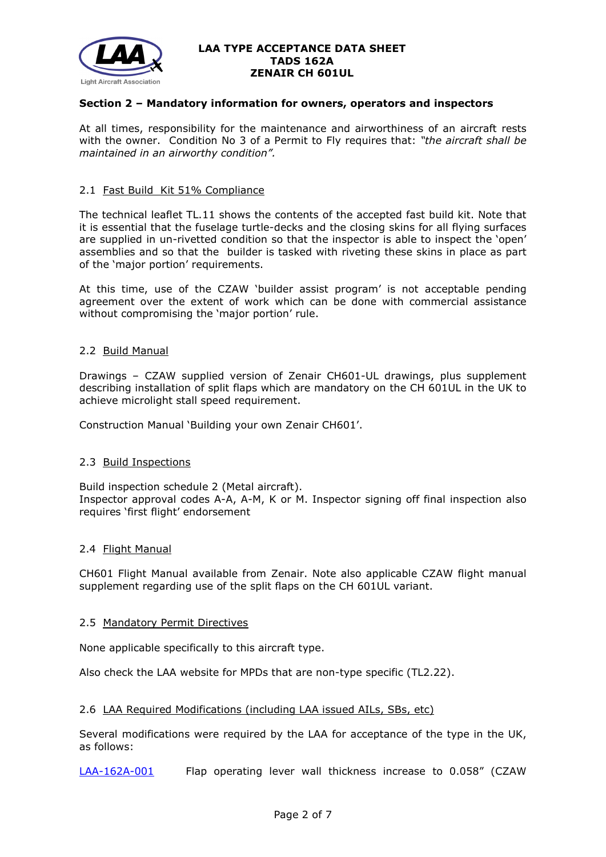

# **Section 2 – Mandatory information for owners, operators and inspectors**

At all times, responsibility for the maintenance and airworthiness of an aircraft rests with the owner. Condition No 3 of a Permit to Fly requires that: *"the aircraft shall be maintained in an airworthy condition".* 

### 2.1 Fast Build Kit 51% Compliance

The technical leaflet TL.11 shows the contents of the accepted fast build kit. Note that it is essential that the fuselage turtle-decks and the closing skins for all flying surfaces are supplied in un-rivetted condition so that the inspector is able to inspect the 'open' assemblies and so that the builder is tasked with riveting these skins in place as part of the 'major portion' requirements.

At this time, use of the CZAW 'builder assist program' is not acceptable pending agreement over the extent of work which can be done with commercial assistance without compromising the 'major portion' rule.

## 2.2 Build Manual

Drawings – CZAW supplied version of Zenair CH601-UL drawings, plus supplement describing installation of split flaps which are mandatory on the CH 601UL in the UK to achieve microlight stall speed requirement.

Construction Manual 'Building your own Zenair CH601'.

## 2.3 Build Inspections

Build inspection schedule 2 (Metal aircraft). Inspector approval codes A-A, A-M, K or M. Inspector signing off final inspection also requires 'first flight' endorsement

#### 2.4 Flight Manual

CH601 Flight Manual available from Zenair. Note also applicable CZAW flight manual supplement regarding use of the split flaps on the CH 601UL variant.

#### 2.5 Mandatory Permit Directives

None applicable specifically to this aircraft type.

Also check the LAA website for MPDs that are non-type specific (TL2.22).

#### 2.6 LAA Required Modifications (including LAA issued AILs, SBs, etc)

Several modifications were required by the LAA for acceptance of the type in the UK, as follows:

[LAA-162A-001](http://www.lightaircraftassociation.co.uk/engineering/TADs/162A/MOD162A001-007.pdf) Flap operating lever wall thickness increase to 0.058" (CZAW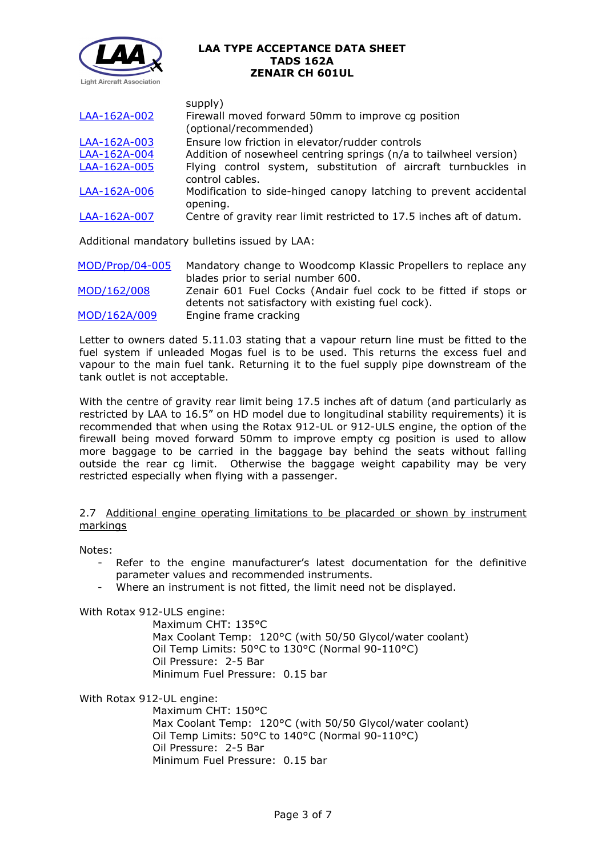

| LAA-162A-002 | supply)<br>Firewall moved forward 50mm to improve cg position<br>(optional/recommended) |
|--------------|-----------------------------------------------------------------------------------------|
| LAA-162A-003 | Ensure low friction in elevator/rudder controls                                         |
| LAA-162A-004 | Addition of nosewheel centring springs (n/a to tailwheel version)                       |
| LAA-162A-005 | Flying control system, substitution of aircraft turnbuckles in                          |
|              | control cables.                                                                         |
| LAA-162A-006 | Modification to side-hinged canopy latching to prevent accidental                       |
|              | opening.                                                                                |
| LAA-162A-007 | Centre of gravity rear limit restricted to 17.5 inches aft of datum.                    |
|              |                                                                                         |

Additional mandatory bulletins issued by LAA:

| MOD/Prop/04-005 | Mandatory change to Woodcomp Klassic Propellers to replace any   |  |  |
|-----------------|------------------------------------------------------------------|--|--|
|                 | blades prior to serial number 600.                               |  |  |
| MOD/162/008     | Zenair 601 Fuel Cocks (Andair fuel cock to be fitted if stops or |  |  |
|                 | detents not satisfactory with existing fuel cock).               |  |  |
| MOD/162A/009    | Engine frame cracking                                            |  |  |

Letter to owners dated 5.11.03 stating that a vapour return line must be fitted to the fuel system if unleaded Mogas fuel is to be used. This returns the excess fuel and vapour to the main fuel tank. Returning it to the fuel supply pipe downstream of the tank outlet is not acceptable.

With the centre of gravity rear limit being 17.5 inches aft of datum (and particularly as restricted by LAA to 16.5" on HD model due to longitudinal stability requirements) it is recommended that when using the Rotax 912-UL or 912-ULS engine, the option of the firewall being moved forward 50mm to improve empty cg position is used to allow more baggage to be carried in the baggage bay behind the seats without falling outside the rear cg limit. Otherwise the baggage weight capability may be very restricted especially when flying with a passenger.

# 2.7 Additional engine operating limitations to be placarded or shown by instrument markings

Notes:

- Refer to the engine manufacturer's latest documentation for the definitive parameter values and recommended instruments.
- Where an instrument is not fitted, the limit need not be displayed.

With Rotax 912-ULS engine:

Maximum CHT: 135°C Max Coolant Temp: 120°C (with 50/50 Glycol/water coolant) Oil Temp Limits: 50°C to 130°C (Normal 90-110°C) Oil Pressure: 2-5 Bar Minimum Fuel Pressure: 0.15 bar

With Rotax 912-UL engine:

Maximum CHT: 150°C Max Coolant Temp: 120°C (with 50/50 Glycol/water coolant) Oil Temp Limits: 50°C to 140°C (Normal 90-110°C) Oil Pressure: 2-5 Bar Minimum Fuel Pressure: 0.15 bar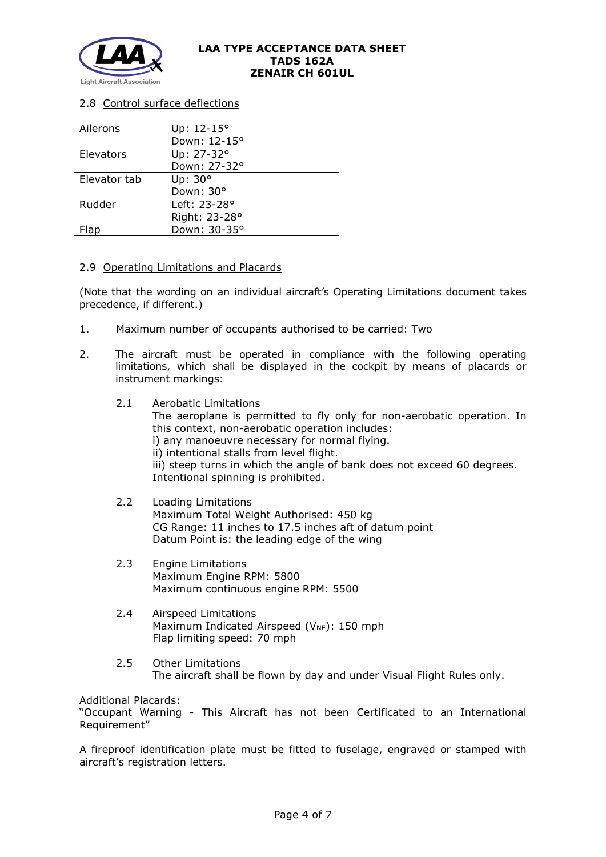

# 2.8 Control surface deflections

| Ailerons     | Up: 12-15°    |
|--------------|---------------|
|              | Down: 12-15°  |
| Elevators    | Up: 27-32°    |
|              | Down: 27-32°  |
| Elevator tab | Up: 30°       |
|              | Down: 30°     |
| Rudder       | Left: 23-28°  |
|              | Right: 23-28° |
|              | Down: 30-35°  |

## 2.9 Operating Limitations and Placards

(Note that the wording on an individual aircraft's Operating Limitations document takes precedence, if different.)

- 1. Maximum number of occupants authorised to be carried: Two
- 2. The aircraft must be operated in compliance with the following operating limitations, which shall be displayed in the cockpit by means of placards or instrument markings:
	- 2.1 Aerobatic Limitations The aeroplane is permitted to fly only for non-aerobatic operation. In this context, non-aerobatic operation includes: i) any manoeuvre necessary for normal flying. ii) intentional stalls from level flight. iii) steep turns in which the angle of bank does not exceed 60 degrees. Intentional spinning is prohibited.
	- 2.2 Loading Limitations Maximum Total Weight Authorised: 450 kg CG Range: 11 inches to 17.5 inches aft of datum point Datum Point is: the leading edge of the wing
	- 2.3 Engine Limitations Maximum Engine RPM: 5800 Maximum continuous engine RPM: 5500
	- 2.4 Airspeed Limitations Maximum Indicated Airspeed ( $V_{NE}$ ): 150 mph Flap limiting speed: 70 mph
	- 2.5 Other Limitations The aircraft shall be flown by day and under Visual Flight Rules only.

Additional Placards:

"Occupant Warning - This Aircraft has not been Certificated to an International Requirement"

A fireproof identification plate must be fitted to fuselage, engraved or stamped with aircraft's registration letters.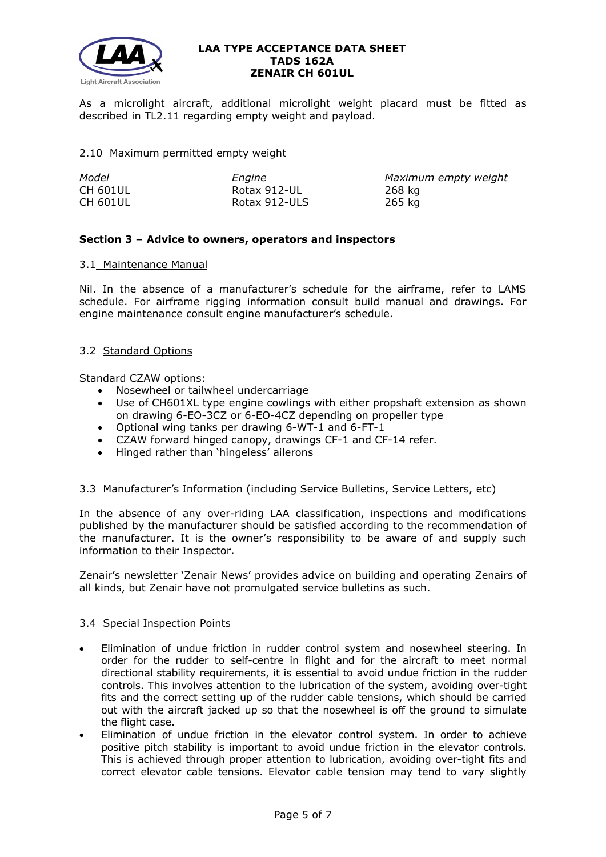

As a microlight aircraft, additional microlight weight placard must be fitted as described in TL2.11 regarding empty weight and payload.

### 2.10 Maximum permitted empty weight

| Model           | Enaine        | Maximum empty weight |
|-----------------|---------------|----------------------|
| <b>CH 601UL</b> | Rotax 912-UL  | 268 kg               |
| <b>CH 601UL</b> | Rotax 912-ULS | 265 kg               |

## **Section 3 – Advice to owners, operators and inspectors**

## 3.1 Maintenance Manual

Nil. In the absence of a manufacturer's schedule for the airframe, refer to LAMS schedule. For airframe rigging information consult build manual and drawings. For engine maintenance consult engine manufacturer's schedule.

## 3.2 Standard Options

Standard CZAW options:

- Nosewheel or tailwheel undercarriage
- Use of CH601XL type engine cowlings with either propshaft extension as shown on drawing 6-EO-3CZ or 6-EO-4CZ depending on propeller type
- Optional wing tanks per drawing 6-WT-1 and 6-FT-1
- CZAW forward hinged canopy, drawings CF-1 and CF-14 refer.
- Hinged rather than 'hingeless' ailerons

## 3.3 Manufacturer's Information (including Service Bulletins, Service Letters, etc)

In the absence of any over-riding LAA classification, inspections and modifications published by the manufacturer should be satisfied according to the recommendation of the manufacturer. It is the owner's responsibility to be aware of and supply such information to their Inspector.

Zenair's newsletter 'Zenair News' provides advice on building and operating Zenairs of all kinds, but Zenair have not promulgated service bulletins as such.

## 3.4 Special Inspection Points

- Elimination of undue friction in rudder control system and nosewheel steering. In order for the rudder to self-centre in flight and for the aircraft to meet normal directional stability requirements, it is essential to avoid undue friction in the rudder controls. This involves attention to the lubrication of the system, avoiding over-tight fits and the correct setting up of the rudder cable tensions, which should be carried out with the aircraft jacked up so that the nosewheel is off the ground to simulate the flight case.
- Elimination of undue friction in the elevator control system. In order to achieve positive pitch stability is important to avoid undue friction in the elevator controls. This is achieved through proper attention to lubrication, avoiding over-tight fits and correct elevator cable tensions. Elevator cable tension may tend to vary slightly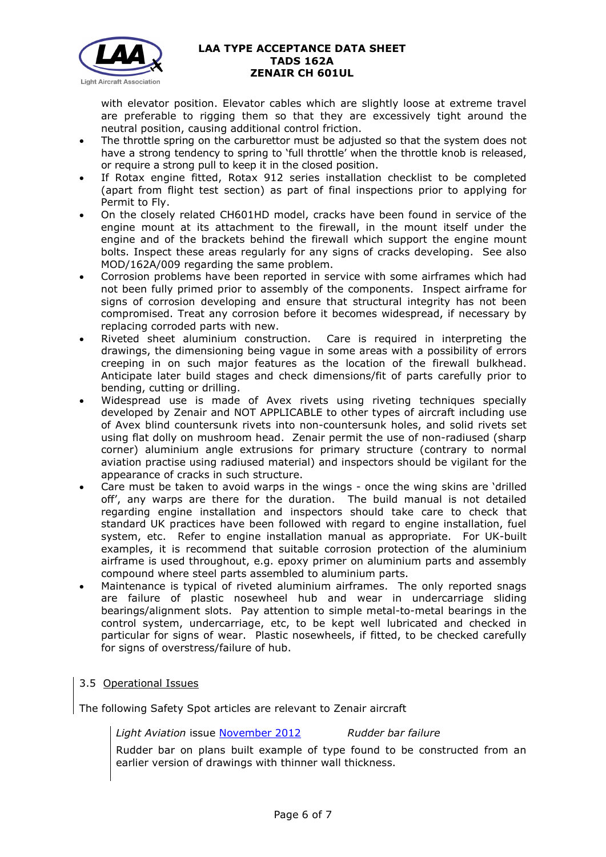

with elevator position. Elevator cables which are slightly loose at extreme travel are preferable to rigging them so that they are excessively tight around the neutral position, causing additional control friction.

- The throttle spring on the carburettor must be adjusted so that the system does not have a strong tendency to spring to 'full throttle' when the throttle knob is released, or require a strong pull to keep it in the closed position.
- If Rotax engine fitted, Rotax 912 series installation checklist to be completed (apart from flight test section) as part of final inspections prior to applying for Permit to Fly.
- On the closely related CH601HD model, cracks have been found in service of the engine mount at its attachment to the firewall, in the mount itself under the engine and of the brackets behind the firewall which support the engine mount bolts. Inspect these areas regularly for any signs of cracks developing. See also MOD/162A/009 regarding the same problem.
- Corrosion problems have been reported in service with some airframes which had not been fully primed prior to assembly of the components. Inspect airframe for signs of corrosion developing and ensure that structural integrity has not been compromised. Treat any corrosion before it becomes widespread, if necessary by replacing corroded parts with new.
- Riveted sheet aluminium construction. Care is required in interpreting the drawings, the dimensioning being vague in some areas with a possibility of errors creeping in on such major features as the location of the firewall bulkhead. Anticipate later build stages and check dimensions/fit of parts carefully prior to bending, cutting or drilling.
- Widespread use is made of Avex rivets using riveting techniques specially developed by Zenair and NOT APPLICABLE to other types of aircraft including use of Avex blind countersunk rivets into non-countersunk holes, and solid rivets set using flat dolly on mushroom head. Zenair permit the use of non-radiused (sharp corner) aluminium angle extrusions for primary structure (contrary to normal aviation practise using radiused material) and inspectors should be vigilant for the appearance of cracks in such structure.
- Care must be taken to avoid warps in the wings once the wing skins are 'drilled off', any warps are there for the duration. The build manual is not detailed regarding engine installation and inspectors should take care to check that standard UK practices have been followed with regard to engine installation, fuel system, etc. Refer to engine installation manual as appropriate. For UK-built examples, it is recommend that suitable corrosion protection of the aluminium airframe is used throughout, e.g. epoxy primer on aluminium parts and assembly compound where steel parts assembled to aluminium parts.
- Maintenance is typical of riveted aluminium airframes. The only reported snags are failure of plastic nosewheel hub and wear in undercarriage sliding bearings/alignment slots. Pay attention to simple metal-to-metal bearings in the control system, undercarriage, etc, to be kept well lubricated and checked in particular for signs of wear. Plastic nosewheels, if fitted, to be checked carefully for signs of overstress/failure of hub.

# 3.5 Operational Issues

The following Safety Spot articles are relevant to Zenair aircraft

*Light Aviation* issue [November 2012](http://www.lightaircraftassociation.co.uk/2012/Magazine/November/Safety%20Spot%20Nov.pdf) *Rudder bar failure*

Rudder bar on plans built example of type found to be constructed from an earlier version of drawings with thinner wall thickness.